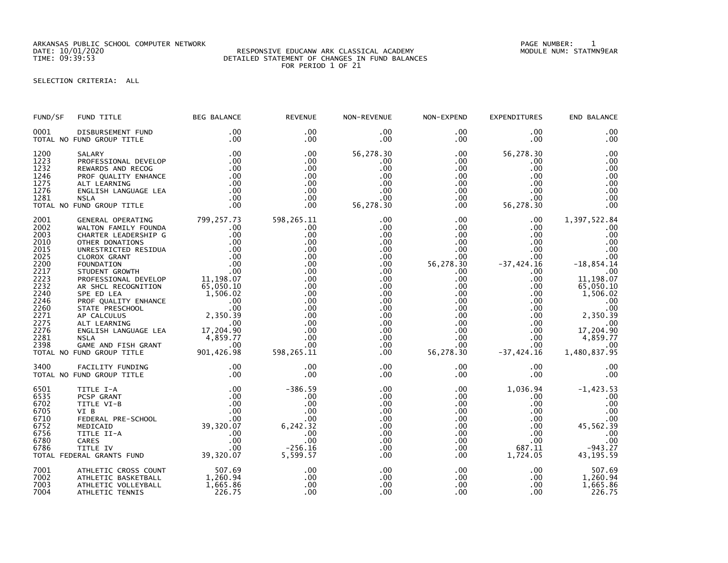ARKANSAS PUBLIC SCHOOL COMPUTER NETWORK PAGE NUMBER: 1

## DATE: 10/01/2020 RESPONSIVE EDUCANW ARK CLASSICAL ACADEMY MODULE NUM: STATMN9EAR TIME: 09:39:53 DETAILED STATEMENT OF CHANGES IN FUND BALANCES FOR PERIOD 1 OF 21

## SELECTION CRITERIA: ALL

| FUND/SF                                                                                                                                      | FUND TITLE                                                                                                                                                                                                                                                                                                                       | <b>BEG BALANCE</b>                                                                                                                                   | <b>REVENUE</b>                                                                                                                                  | NON-REVENUE                                                                                                                                  | NON-EXPEND                                                                                                                                                                                                          | <b>EXPENDITURES</b>                                                                                                                                                                                                                           | END BALANCE                                                                                                                                                                                    |
|----------------------------------------------------------------------------------------------------------------------------------------------|----------------------------------------------------------------------------------------------------------------------------------------------------------------------------------------------------------------------------------------------------------------------------------------------------------------------------------|------------------------------------------------------------------------------------------------------------------------------------------------------|-------------------------------------------------------------------------------------------------------------------------------------------------|----------------------------------------------------------------------------------------------------------------------------------------------|---------------------------------------------------------------------------------------------------------------------------------------------------------------------------------------------------------------------|-----------------------------------------------------------------------------------------------------------------------------------------------------------------------------------------------------------------------------------------------|------------------------------------------------------------------------------------------------------------------------------------------------------------------------------------------------|
| 0001                                                                                                                                         | DISBURSEMENT FUND<br>TOTAL NO FUND GROUP TITLE                                                                                                                                                                                                                                                                                   | .00<br>.00                                                                                                                                           | .00<br>$.00 \times$                                                                                                                             | .00<br>.00                                                                                                                                   | $.00 \,$<br>$.00 \,$                                                                                                                                                                                                | $.00 \,$<br>$.00 \,$                                                                                                                                                                                                                          | .00<br>.00                                                                                                                                                                                     |
| 1200<br>1223<br>1232<br>1246<br>1275<br>1276<br>1281                                                                                         | SALARY<br>PROFESSIONAL DEVELOP<br>REWARDS AND RECOG<br>PROF QUALITY ENHANCE<br>ALT LEARNING<br>ENGLISH LANGUAGE LEA<br><b>NSLA</b><br>TOTAL NO FUND GROUP TITLE                                                                                                                                                                  | .00<br>.00<br>.00<br>.00<br>.00<br>.00<br>.00<br>.00                                                                                                 | .00<br>.00<br>.00<br>$.00 \times$<br>.00.<br>.00<br>.00<br>.00                                                                                  | 56,278.30<br>.00<br>.00<br>.00<br>.00<br>.00<br>.00<br>56,278.30                                                                             | $.00 \,$<br>$.00 \,$<br>$.00 \,$<br>$.00 \,$<br>$.00\,$<br>.00<br>$.00 \,$<br>.00                                                                                                                                   | 56,278.30<br>.00<br>.00<br>$.00 \,$<br>$.00 \,$<br>$.00 \,$<br>.00<br>56,278.30                                                                                                                                                               | .00<br>.00<br>.00<br>.00<br>.00<br>.00<br>.00<br>.00                                                                                                                                           |
| 2001<br>2002<br>2003<br>2010<br>2015<br>2025<br>2200<br>2217<br>2223<br>2232<br>2240<br>2246<br>2260<br>2271<br>2275<br>2276<br>2281<br>2398 | GENERAL OPERATING<br>WALTON FAMILY FOUNDA<br>CHARTER LEADERSHIP G<br>OTHER DONATIONS<br>PROFESSIONAL DEVELOP<br>AR SHCL RECOGNITION<br>SPE ED LEA<br>PROF QUALITY ENHANCE<br>STATE PRESCHOOL<br>AP CALCULUS<br>ALT LEARNING<br>ENGLISH LANGUAGE LEA 17,204.90<br><b>NSLA</b><br>GAME AND FISH GRANT<br>TOTAL NO FUND GROUP TITLE | 799,257.73<br>.00<br>.00<br>.00<br>11,198.07<br>65,050.10<br>65,050.10<br>1,506.02<br>.00<br>.00<br>2,350.39<br>.00<br>4,859.77<br>.00<br>901,426.98 | 598,265.11<br>.00<br>.00<br>.00<br>.00<br>.00<br>.00<br>.00<br>.00<br>.00<br>.00<br>.00<br>.00<br>.00<br>.00<br>.00<br>.00<br>.00<br>598,265.11 | .00<br>.00<br>.00<br>.00<br>.00<br>.00<br>.00<br>.00<br>.00<br>$.00 \,$<br>.00<br>.00<br>.00.<br>.00<br>.00<br>.00<br>$.00 \,$<br>.00<br>.00 | $.00 \,$<br>.00<br>$.00 \,$<br>$.00 \,$<br>$.00 \,$<br>$.00 \,$<br>56,278.30<br>$.00 \,$<br>$.00 \,$<br>$.00 \,$<br>$.00 \,$<br>$.00 \,$<br>.00<br>.00<br>$.00 \,$<br>$.00 \,$<br>$.00 \,$<br>$.00 \,$<br>56,278.30 | $.00 \,$<br>$.00 \,$<br>$.00 \,$<br>$.00 \,$<br>$.00 \,$<br>.00 <sub>1</sub><br>$-37,424.16$<br>$.00 \,$<br>.00<br>$.00 \,$<br>$.00 \,$<br>$.00 \,$<br>$.00 \,$<br>$.00 \,$<br>$.00 \,$<br>$.00 \ \,$<br>$.00 \,$<br>$.00 \,$<br>$-37,424.16$ | 1,397,522.84<br>.00<br>.00<br>.00<br>.00<br>.00<br>$-18,854.14$<br>.00<br>11, 198.07<br>65,050.10<br>1,506.02<br>.00<br>.00<br>2,350.39<br>.00<br>17,204.90<br>4,859.77<br>.00<br>1,480,837.95 |
| 3400                                                                                                                                         | FACILITY FUNDING<br>TOTAL NO FUND GROUP TITLE                                                                                                                                                                                                                                                                                    | .00<br>.00                                                                                                                                           | .00<br>.00                                                                                                                                      | .00<br>.00                                                                                                                                   | $.00 \,$<br>$.00 \,$                                                                                                                                                                                                | $.00 \,$<br>$.00 \,$                                                                                                                                                                                                                          | .00<br>.00                                                                                                                                                                                     |
| 6501<br>6535<br>6702<br>6705<br>6710<br>6752<br>6756<br>6780<br>6786                                                                         | TITLE I-A<br>PCSP GRANT<br>TITLE VI-B<br>VI B<br>FEDERAL PRE-SCHOOL<br>MEDICAID<br>TITLE II-A<br><b>CARES</b><br>TITLE IV<br>TOTAL FEDERAL GRANTS FUND                                                                                                                                                                           | .00<br>.00<br>.00<br>39,320.07                                                                                                                       | $-386.59$<br>.00<br>.00<br>.00<br>.00<br>6,242.32<br>.00<br>.00<br>$-256.16$<br>5,599.57                                                        | .00<br>.00<br>.00<br>.00<br>.00<br>.00<br>.00<br>.00<br>.00.<br>.00                                                                          | $.00 \,$<br>.00<br>$.00 \,$<br>$.00 \,$<br>$.00 \,$<br>$.00 \,$<br>.00<br>$.00 \,$<br>$.00 \,$<br>$.00 \,$                                                                                                          | 1,036.94<br>.00<br>$.00 \,$<br>$.00 \,$<br>$.00 \,$<br>$.00 \cdot$<br>$.00 \,$<br>$.00 \,$<br>687.11<br>1,724.05                                                                                                                              | $-1,423.53$<br>.00<br>.00<br>.00<br>$00$<br>45,562.39<br>.00<br>.00<br>$-943.27$<br>43, 195. 59                                                                                                |
| 7001<br>7002<br>7003<br>7004                                                                                                                 | ATHLETIC CROSS COUNT<br>ATHLETIC BASKETBALL<br>ATHLETIC VOLLEYBALL<br>ATHLETIC TENNIS                                                                                                                                                                                                                                            | 507.69<br>1,260.94<br>1,665.86<br>226.75                                                                                                             | .00<br>.00<br>.00<br>.00                                                                                                                        | .00<br>.00<br>.00<br>.00                                                                                                                     | $.00 \,$<br>$.00\,$<br>$.00 \,$<br>$.00 \,$                                                                                                                                                                         | $.00 \,$<br>$.00 \,$<br>$.00 \,$<br>.00 <sub>1</sub>                                                                                                                                                                                          | 507.69<br>1,260.94<br>1,665.86<br>226.75                                                                                                                                                       |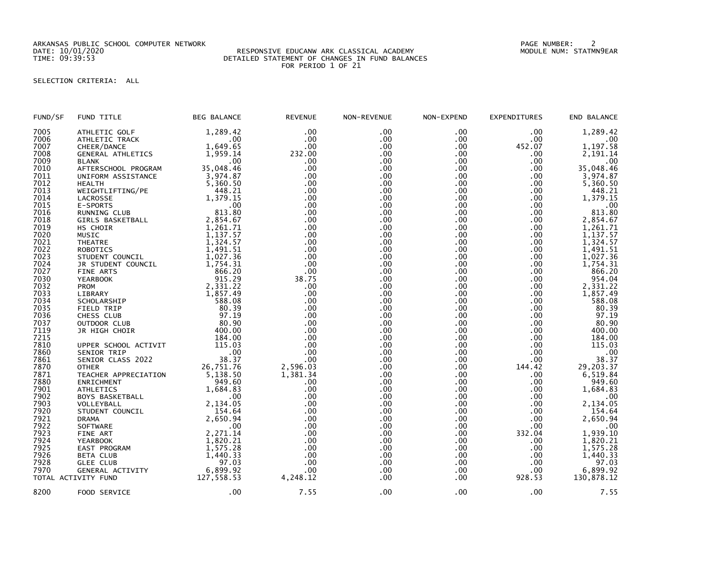ARKANSAS PUBLIC SCHOOL COMPUTER NETWORK PAGE NUMBER: 2

## DATE: 10/01/2020 RESPONSIVE EDUCANW ARK CLASSICAL ACADEMY MODULE NUM: STATMN9EAR TIME: 09:39:53 DETAILED STATEMENT OF CHANGES IN FUND BALANCES FOR PERIOD 1 OF 21

## SELECTION CRITERIA: ALL

| FUND/SF | FUND TITLE               | <b>BEG BALANCE</b> | <b>REVENUE</b> | NON-REVENUE      | NON-EXPEND | EXPENDITURES | END BALANCE                                  |
|---------|--------------------------|--------------------|----------------|------------------|------------|--------------|----------------------------------------------|
| 7005    | ATHLETIC GOLF            | 1,289.42           | .00            | .00              | .00        | .00          | 1,289.42                                     |
| 7006    | ATHLETIC TRACK           | .00                | .00            | .00              | .00        | .00          | .00                                          |
| 7007    | CHEER/DANCE              | 1,649.65           | .00            | .00 <sub>1</sub> | $.00 \,$   | 452.07       | 1,197.58                                     |
| 7008    | <b>GENERAL ATHLETICS</b> | 1.959.14           | 232.00         | .00              | .00        | .00          | 2.191.14                                     |
| 7009    | <b>BLANK</b>             | .00                | .00            | .00              | .00.       | .00          | .00                                          |
| 7010    | AFTERSCHOOL PROGRAM      | 35,048.46          | .00            | .00              | .00        | .00          | 35,048.46                                    |
| 7011    | UNIFORM ASSISTANCE       | 3,974.87           | .00            | .00              | .00        | .00          | 3,974.87                                     |
| 7012    | <b>HEALTH</b>            | 5,360.50           | .00            | .00              | .00        | .00          | 5,360.50                                     |
| 7013    | WEIGHTLIFTING/PE         | 448.21             | .00            | .00              | .00        | .00          | 448.21                                       |
| 7014    | LACROSSE                 | 1,379.15           | .00            | .00              | .00        | .00          | 1,379.15                                     |
| 7015    | E-SPORTS                 | .00                | .00            | .00 <sub>1</sub> | .00        | .00          | .00                                          |
| 7016    | RUNNING CLUB             | 813.80             | .00            | .00              | .00        | .00          | 813.80                                       |
| 7018    |                          | 2,854.67           | .00            | .00              | .00        | .00          | 2,854.67                                     |
| 7019    | GIRLS BASKETBALL         | 1,261.71           | .00            | .00              | .00        | .00          | 1,261.71                                     |
|         | HS CHOIR                 |                    |                |                  |            |              |                                              |
| 7020    | MUSIC                    | 1,137.57           | .00            | .00              | .00        | .00          | 1,137.57                                     |
| 7021    | <b>THEATRE</b>           | 1,324.57           | .00            | .00              | .00.       | .00          | 1,324.57                                     |
| 7022    | <b>ROBOTICS</b>          | 1,491.51           | .00            | .00              | .00        | .00.         | 1,491.51                                     |
| 7023    | STUDENT COUNCIL          | 1,027.36           | .00            | .00              | .00.       | .00          | 1,027.36                                     |
| 7024    | JR STUDENT COUNCIL       | 1,754.31           | .00            | .00              | .00        | .00          | 1,754.31                                     |
| 7027    | <b>FINE ARTS</b>         | 866.20             | .00            | .00              | .00.       | .00          | 866.20                                       |
| 7030    | <b>YEARBOOK</b>          | 915.29             | 38.75          | .00              | .00        | .00          | 954.04                                       |
| 7032    | PROM                     | 2,331.22           | .00            | .00              | .00        | .00          | 2,331.22                                     |
| 7033    | LIBRARY                  | 1,857.49           | .00            | .00              | .00        | .00          | 1,857.49                                     |
| 7034    | SCHOLARSHIP              | 588.08             | .00            | .00              | .00        | .00          | 588.08                                       |
| 7035    | FIELD TRIP               | 80.39              | .00            | .00              | .00        | .00          | 80.39                                        |
| 7036    | CHESS CLUB               | 97.19              | .00            | .00              | .00        | .00          | 97.19                                        |
| 7037    | OUTDOOR CLUB             | 80.90              | .00            | .00              | .00        | .00          | 80.90                                        |
| 7119    | JR HIGH CHOIR            | 400.00             | .00            | .00              | .00        | .00          | 400.00                                       |
| 7215    |                          | 184.00             | .00            | .00.             | .00        | .00          | 184.00                                       |
| 7810    | UPPER SCHOOL ACTIVIT     | 115.03             | .00            | .00              | .00        | .00          | 115.03                                       |
| 7860    | SENIOR TRIP              | .00                | .00            | .00              | .00        | .00          |                                              |
| 7861    | SENIOR CLASS 2022        | 38.37              | .00            | .00              | .00        | .00          | $\begin{array}{r} 0.00 \\ 38.37 \end{array}$ |
| 7870    | <b>OTHER</b>             | 26,751.76          | 2,596.03       | .00              | .00        | 144.42       | 29,203.37                                    |
| 7871    | TEACHER APPRECIATION     | 5,138.50           | 1,381.34       | .00              | .00        | .00          | 6,519.84                                     |
| 7880    | ENRICHMENT               | 949.60             | .00            | .00              | .00        | .00          | 949.60                                       |
| 7901    | <b>ATHLETICS</b>         | 1,684.83           | .00            | .00              | .00        | .00          | 1,684.83                                     |
| 7902    | <b>BOYS BASKETBALL</b>   | . 00               | .00            | .00.             | .00        | .00          | .00                                          |
| 7903    | VOLLEYBALL               | 2,134.05           | .00            | .00              | .00.       | .00          | 2,134.05                                     |
| 7920    | STUDENT COUNCIL          | 154.64             | .00            | .00              | .00        | .00          | 154.64                                       |
| 7921    | <b>DRAMA</b>             | 2,650.94           | .00            | .00              | .00.       | .00          | 2,650.94                                     |
| 7922    | <b>SOFTWARE</b>          | .00                | .00            | .00              | .00        | .00          | .00                                          |
| 7923    | FINE ART                 | 2,271.14           | .00            | .00              | .00.       | 332.04       | 1,939.10                                     |
| 7924    | <b>YEARBOOK</b>          | 1,820.21           | .00            | .00              | .00        | .00          | 1,820.21                                     |
| 7925    | EAST PROGRAM             | 1,575.28           | .00            | .00              | .00        | .00          | 1,575.28                                     |
| 7926    | <b>BETA CLUB</b>         | 1,440.33           | .00            | .00              | .00        | .00          | 1,440.33                                     |
| 7928    | <b>GLEE CLUB</b>         | 97.03              | .00            | .00              | .00        | .00          | 97.03                                        |
| 7970    | GENERAL ACTIVITY         | 6,899.92           | .00            | .00              | .00.       | .00          | 6,899.92                                     |
|         | TOTAL ACTIVITY FUND      | 127,558.53         | 4,248.12       | .00              | .00        | 928.53       | 130,878.12                                   |
| 8200    | FOOD SERVICE             | .00                | 7.55           | .00              | $.00 \,$   | .00          | 7.55                                         |